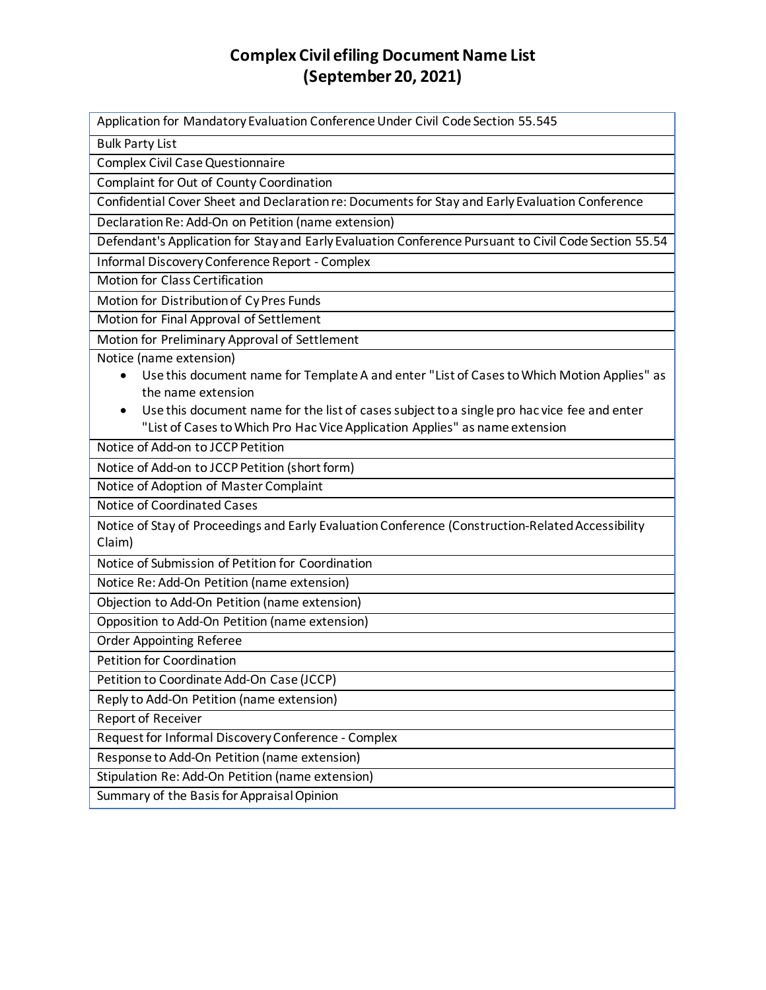## **Complex Civil efiling Document Name List (September 20, 2021)**

Application for Mandatory Evaluation Conference Under Civil Code Section 55.545 Bulk Party List Complex Civil Case Questionnaire Complaint for Out of County Coordination Confidential Cover Sheet and Declaration re: Documents for Stay and Early Evaluation Conference Declaration Re: Add-On on Petition (name extension) Defendant's Application for Stay and Early Evaluation Conference Pursuant to Civil Code Section 55.54 Informal Discovery Conference Report - Complex Motion for Class Certification Motion for Distribution of Cy Pres Funds Motion for Final Approval of Settlement Motion for Preliminary Approval of Settlement Notice (name extension) • Use this document name for Template A and enter "List of Cases to Which Motion Applies" as the name extension • Use this document name for the list of cases subject to a single pro hac vice fee and enter "List of Cases to Which Pro Hac Vice Application Applies" as name extension Notice of Add-on to JCCP Petition Notice of Add-on to JCCP Petition (short form) Notice of Adoption of Master Complaint Notice of Coordinated Cases Notice of Stay of Proceedings and Early Evaluation Conference (Construction-Related Accessibility Claim) Notice of Submission of Petition for Coordination Notice Re: Add-On Petition (name extension) Objection to Add-On Petition (name extension) Opposition to Add-On Petition (name extension) Order Appointing Referee Petition for Coordination Petition to Coordinate Add-On Case (JCCP) Reply to Add-On Petition (name extension) Report of Receiver Request for Informal Discovery Conference - Complex Response to Add-On Petition (name extension) Stipulation Re: Add-On Petition (name extension) Summary of the Basis for Appraisal Opinion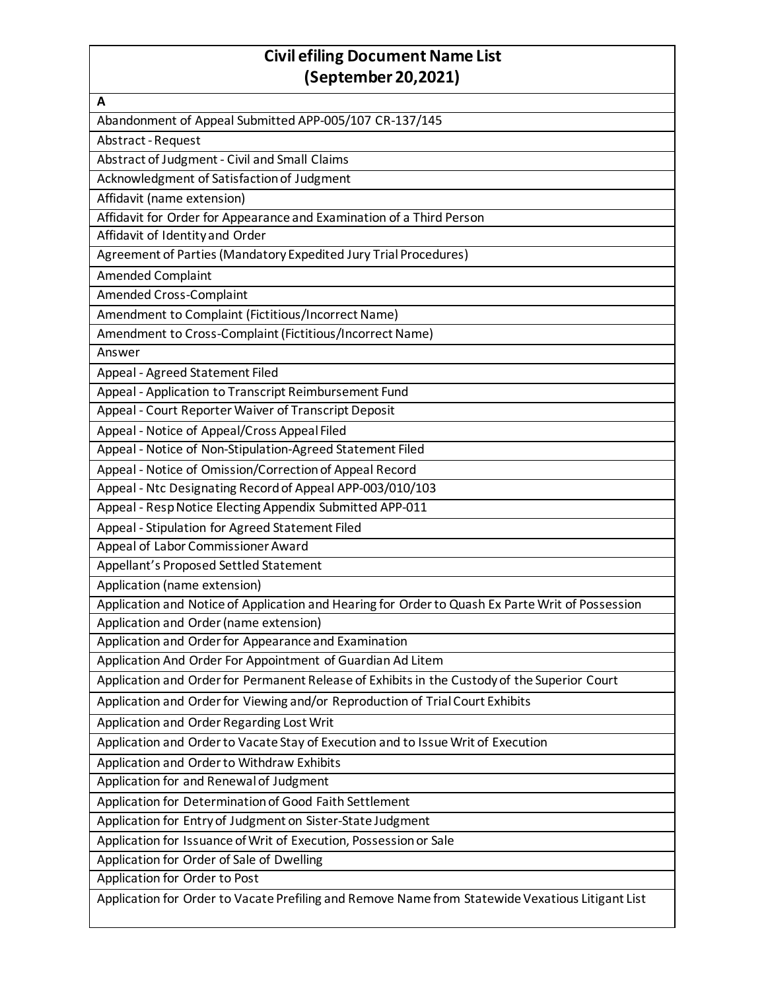## **Civil efiling Document Name List (September 20,2021)**

| A                                                                                                |
|--------------------------------------------------------------------------------------------------|
| Abandonment of Appeal Submitted APP-005/107 CR-137/145                                           |
| Abstract - Request                                                                               |
| Abstract of Judgment - Civil and Small Claims                                                    |
| Acknowledgment of Satisfaction of Judgment                                                       |
| Affidavit (name extension)                                                                       |
| Affidavit for Order for Appearance and Examination of a Third Person                             |
| Affidavit of Identity and Order                                                                  |
| Agreement of Parties (Mandatory Expedited Jury Trial Procedures)                                 |
| <b>Amended Complaint</b>                                                                         |
| <b>Amended Cross-Complaint</b>                                                                   |
| Amendment to Complaint (Fictitious/Incorrect Name)                                               |
| Amendment to Cross-Complaint (Fictitious/Incorrect Name)                                         |
| Answer                                                                                           |
| Appeal - Agreed Statement Filed                                                                  |
| Appeal - Application to Transcript Reimbursement Fund                                            |
| Appeal - Court Reporter Waiver of Transcript Deposit                                             |
| Appeal - Notice of Appeal/Cross Appeal Filed                                                     |
| Appeal - Notice of Non-Stipulation-Agreed Statement Filed                                        |
| Appeal - Notice of Omission/Correction of Appeal Record                                          |
| Appeal - Ntc Designating Record of Appeal APP-003/010/103                                        |
| Appeal - Resp Notice Electing Appendix Submitted APP-011                                         |
| Appeal - Stipulation for Agreed Statement Filed                                                  |
| Appeal of Labor Commissioner Award                                                               |
| Appellant's Proposed Settled Statement                                                           |
| Application (name extension)                                                                     |
| Application and Notice of Application and Hearing for Order to Quash Ex Parte Writ of Possession |
| Application and Order (name extension)                                                           |
| Application and Order for Appearance and Examination                                             |
| Application And Order For Appointment of Guardian Ad Litem                                       |
| Application and Order for Permanent Release of Exhibits in the Custody of the Superior Court     |
| Application and Order for Viewing and/or Reproduction of Trial Court Exhibits                    |
| Application and Order Regarding Lost Writ                                                        |
| Application and Order to Vacate Stay of Execution and to Issue Writ of Execution                 |
| Application and Order to Withdraw Exhibits                                                       |
| Application for and Renewal of Judgment                                                          |
| Application for Determination of Good Faith Settlement                                           |
| Application for Entry of Judgment on Sister-State Judgment                                       |
| Application for Issuance of Writ of Execution, Possession or Sale                                |
| Application for Order of Sale of Dwelling                                                        |
| Application for Order to Post                                                                    |
| Application for Order to Vacate Prefiling and Remove Name from Statewide Vexatious Litigant List |
|                                                                                                  |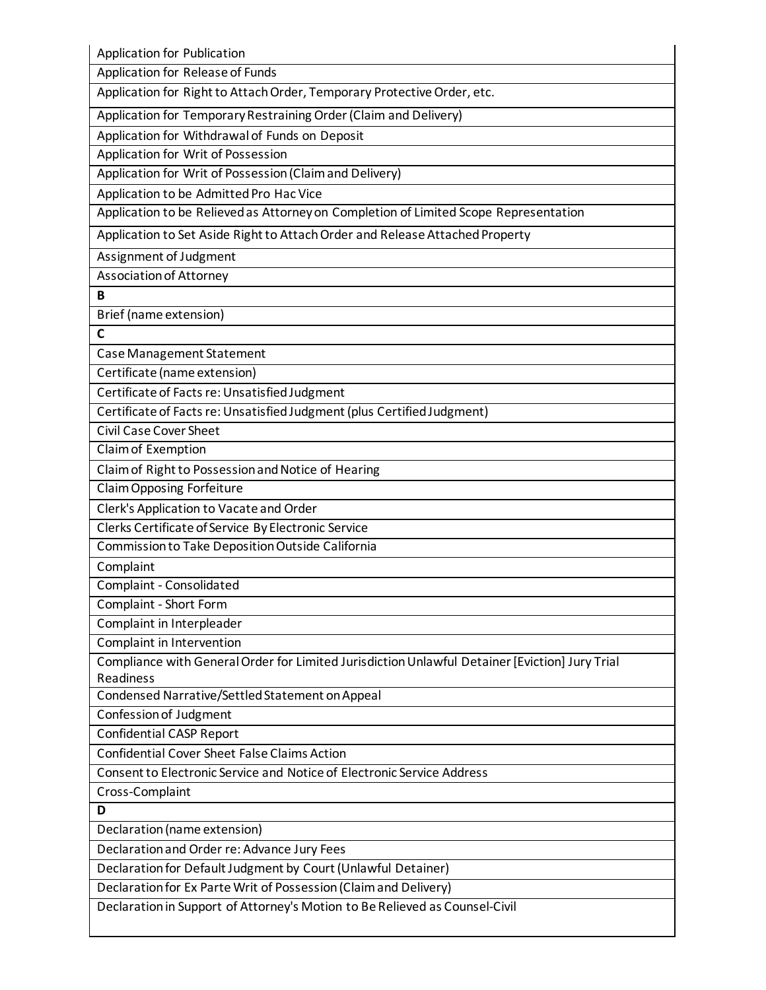Application for Publication

Application for Release of Funds

Application for Right to Attach Order, Temporary Protective Order, etc.

Application for Temporary Restraining Order (Claim and Delivery)

Application for Withdrawal of Funds on Deposit

Application for Writ of Possession

Application for Writ of Possession (Claim and Delivery)

Application to be Admitted Pro Hac Vice

Application to be Relieved as Attorney on Completion of Limited Scope Representation

Application to Set Aside Right to Attach Order and Release Attached Property

Assignment of Judgment

Association of Attorney

**B**

Brief (name extension)

**C**

Case Management Statement

Certificate (name extension)

Certificate of Facts re: Unsatisfied Judgment

Certificate of Facts re: Unsatisfied Judgment (plus Certified Judgment)

Civil Case Cover Sheet

Claim of Exemption

Claim of Right to Possession and Notice of Hearing

Claim Opposing Forfeiture

Clerk's Application to Vacate and Order

Clerks Certificate of Service By Electronic Service

Commission to Take Deposition Outside California

Complaint

Complaint - Consolidated

Complaint - Short Form

Complaint in Interpleader

Complaint in Intervention

Compliance with General Order for Limited Jurisdiction Unlawful Detainer [Eviction] Jury Trial Readiness

Condensed Narrative/Settled Statement on Appeal

Confession of Judgment

Confidential CASP Report

Confidential Cover Sheet False Claims Action

Consent to Electronic Service and Notice of Electronic Service Address

Cross-Complaint

**D**

Declaration (name extension)

Declaration and Order re: Advance Jury Fees

Declaration for Default Judgment by Court (Unlawful Detainer)

Declaration for Ex Parte Writ of Possession (Claim and Delivery)

Declaration in Support of Attorney's Motion to Be Relieved as Counsel-Civil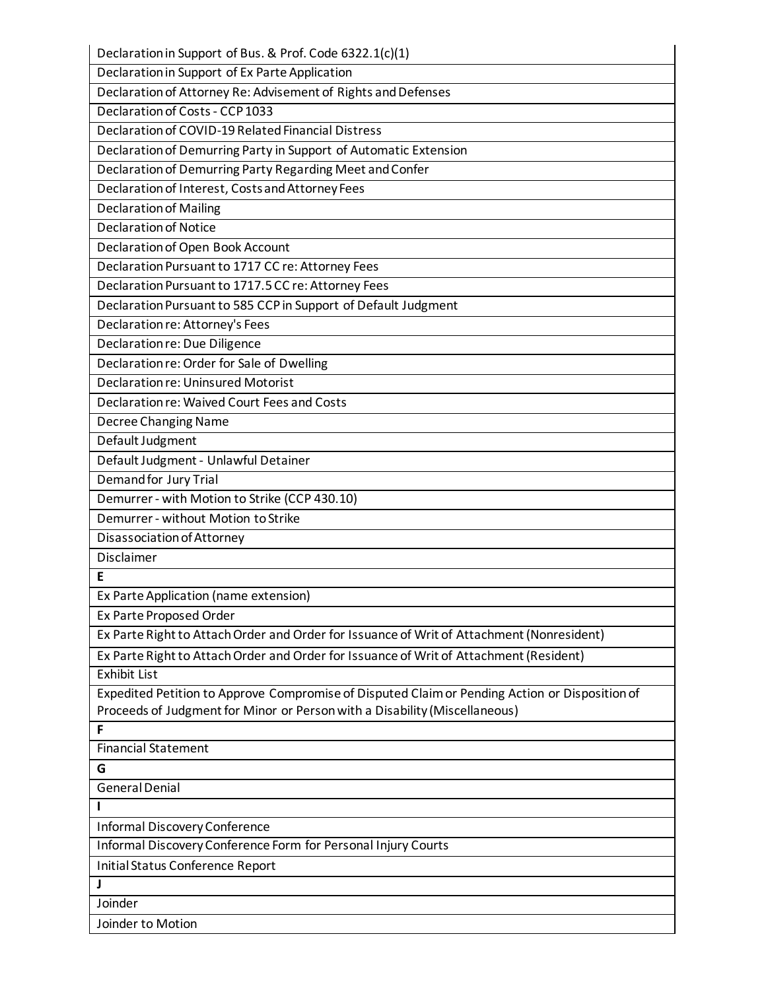| Declaration in Support of Bus. & Prof. Code 6322.1(c)(1)                                       |
|------------------------------------------------------------------------------------------------|
| Declaration in Support of Ex Parte Application                                                 |
| Declaration of Attorney Re: Advisement of Rights and Defenses                                  |
| Declaration of Costs - CCP 1033                                                                |
| Declaration of COVID-19 Related Financial Distress                                             |
| Declaration of Demurring Party in Support of Automatic Extension                               |
| Declaration of Demurring Party Regarding Meet and Confer                                       |
| Declaration of Interest, Costs and Attorney Fees                                               |
| <b>Declaration of Mailing</b>                                                                  |
| <b>Declaration of Notice</b>                                                                   |
| Declaration of Open Book Account                                                               |
| Declaration Pursuant to 1717 CC re: Attorney Fees                                              |
| Declaration Pursuant to 1717.5 CC re: Attorney Fees                                            |
| Declaration Pursuant to 585 CCP in Support of Default Judgment                                 |
| Declaration re: Attorney's Fees                                                                |
| Declaration re: Due Diligence                                                                  |
| Declaration re: Order for Sale of Dwelling                                                     |
| <b>Declaration re: Uninsured Motorist</b>                                                      |
| Declaration re: Waived Court Fees and Costs                                                    |
| <b>Decree Changing Name</b>                                                                    |
| Default Judgment                                                                               |
| Default Judgment - Unlawful Detainer                                                           |
| Demand for Jury Trial                                                                          |
| Demurrer - with Motion to Strike (CCP 430.10)                                                  |
| Demurrer - without Motion to Strike                                                            |
| Disassociation of Attorney                                                                     |
| Disclaimer                                                                                     |
| Е                                                                                              |
| Ex Parte Application (name extension)                                                          |
| Ex Parte Proposed Order                                                                        |
| Ex Parte Right to Attach Order and Order for Issuance of Writ of Attachment (Nonresident)      |
| Ex Parte Right to Attach Order and Order for Issuance of Writ of Attachment (Resident)         |
| <b>Exhibit List</b>                                                                            |
| Expedited Petition to Approve Compromise of Disputed Claim or Pending Action or Disposition of |
| Proceeds of Judgment for Minor or Person with a Disability (Miscellaneous)                     |
| F                                                                                              |
| <b>Financial Statement</b>                                                                     |
| G                                                                                              |
| <b>General Denial</b>                                                                          |
|                                                                                                |
| <b>Informal Discovery Conference</b>                                                           |
| Informal Discovery Conference Form for Personal Injury Courts                                  |
| Initial Status Conference Report                                                               |
|                                                                                                |
| Joinder                                                                                        |
| Joinder to Motion                                                                              |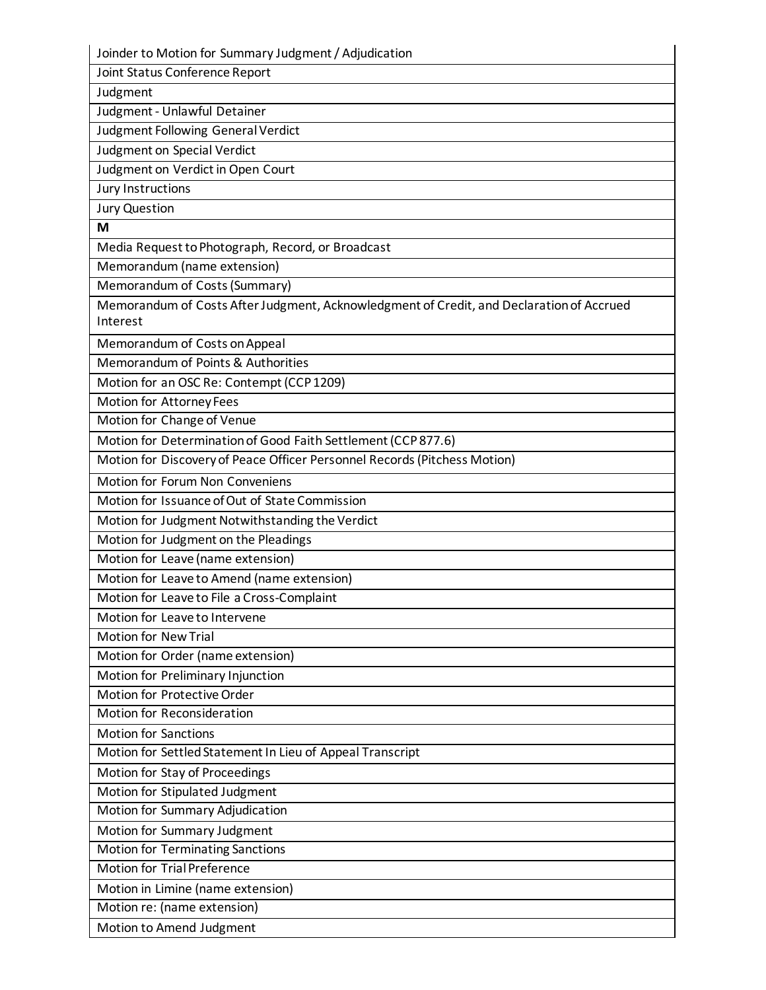Joinder to Motion for Summary Judgment / Adjudication

Joint Status Conference Report

Judgment Judgment - Unlawful Detainer

Judgment Following General Verdict

Judgment on Special Verdict

Judgment on Verdict in Open Court

Jury Instructions

Jury Question

**M**

Media Request to Photograph, Record, or Broadcast

Memorandum (name extension)

Memorandum of Costs (Summary)

Memorandum of Costs After Judgment, Acknowledgment of Credit, and Declaration of Accrued Interest

Memorandum of Costs on Appeal

Memorandum of Points & Authorities

Motion for an OSC Re: Contempt (CCP 1209)

Motion for Attorney Fees

Motion for Change of Venue

Motion for Determination of Good Faith Settlement (CCP 877.6)

Motion for Discovery of Peace Officer Personnel Records (Pitchess Motion)

Motion for Forum Non Conveniens

Motion for Issuance of Out of State Commission

Motion for Judgment Notwithstanding the Verdict

Motion for Judgment on the Pleadings

Motion for Leave (name extension)

Motion for Leave to Amend (name extension)

Motion for Leave to File a Cross-Complaint

Motion for Leave to Intervene

Motion for New Trial

Motion for Order (name extension)

Motion for Preliminary Injunction

Motion for Protective Order

Motion for Reconsideration

Motion for Sanctions

Motion for Settled Statement In Lieu of Appeal Transcript

Motion for Stay of Proceedings

Motion for Stipulated Judgment

Motion for Summary Adjudication

Motion for Summary Judgment

Motion for Terminating Sanctions

Motion for Trial Preference

Motion in Limine (name extension)

Motion re: (name extension)

Motion to Amend Judgment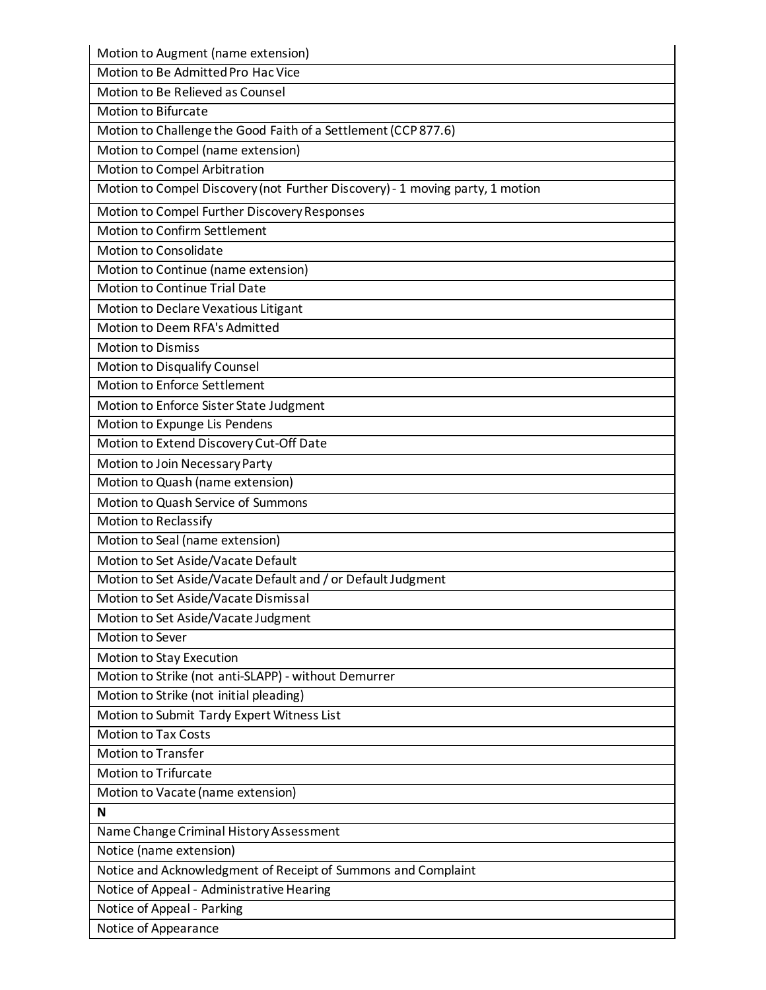| Motion to Augment (name extension)                                            |
|-------------------------------------------------------------------------------|
| Motion to Be Admitted Pro Hac Vice                                            |
| Motion to Be Relieved as Counsel                                              |
| <b>Motion to Bifurcate</b>                                                    |
| Motion to Challenge the Good Faith of a Settlement (CCP 877.6)                |
| Motion to Compel (name extension)                                             |
| Motion to Compel Arbitration                                                  |
| Motion to Compel Discovery (not Further Discovery) - 1 moving party, 1 motion |
| Motion to Compel Further Discovery Responses                                  |
| Motion to Confirm Settlement                                                  |
| Motion to Consolidate                                                         |
| Motion to Continue (name extension)                                           |
| <b>Motion to Continue Trial Date</b>                                          |
| Motion to Declare Vexatious Litigant                                          |
| Motion to Deem RFA's Admitted                                                 |
| <b>Motion to Dismiss</b>                                                      |
| Motion to Disqualify Counsel                                                  |
| Motion to Enforce Settlement                                                  |
| Motion to Enforce Sister State Judgment                                       |
| Motion to Expunge Lis Pendens                                                 |
| Motion to Extend Discovery Cut-Off Date                                       |
| Motion to Join Necessary Party                                                |
| Motion to Quash (name extension)                                              |
| Motion to Quash Service of Summons                                            |
| <b>Motion to Reclassify</b>                                                   |
| Motion to Seal (name extension)                                               |
| Motion to Set Aside/Vacate Default                                            |
| Motion to Set Aside/Vacate Default and / or Default Judgment                  |
| Motion to Set Aside/Vacate Dismissal                                          |
| Motion to Set Aside/Vacate Judgment                                           |
| Motion to Sever                                                               |
| Motion to Stay Execution                                                      |
| Motion to Strike (not anti-SLAPP) - without Demurrer                          |
| Motion to Strike (not initial pleading)                                       |
| Motion to Submit Tardy Expert Witness List                                    |
| <b>Motion to Tax Costs</b>                                                    |
| <b>Motion to Transfer</b>                                                     |
| <b>Motion to Trifurcate</b>                                                   |
| Motion to Vacate (name extension)                                             |
| N                                                                             |
| Name Change Criminal History Assessment                                       |
| Notice (name extension)                                                       |
| Notice and Acknowledgment of Receipt of Summons and Complaint                 |
| Notice of Appeal - Administrative Hearing                                     |
| Notice of Appeal - Parking                                                    |
| Notice of Appearance                                                          |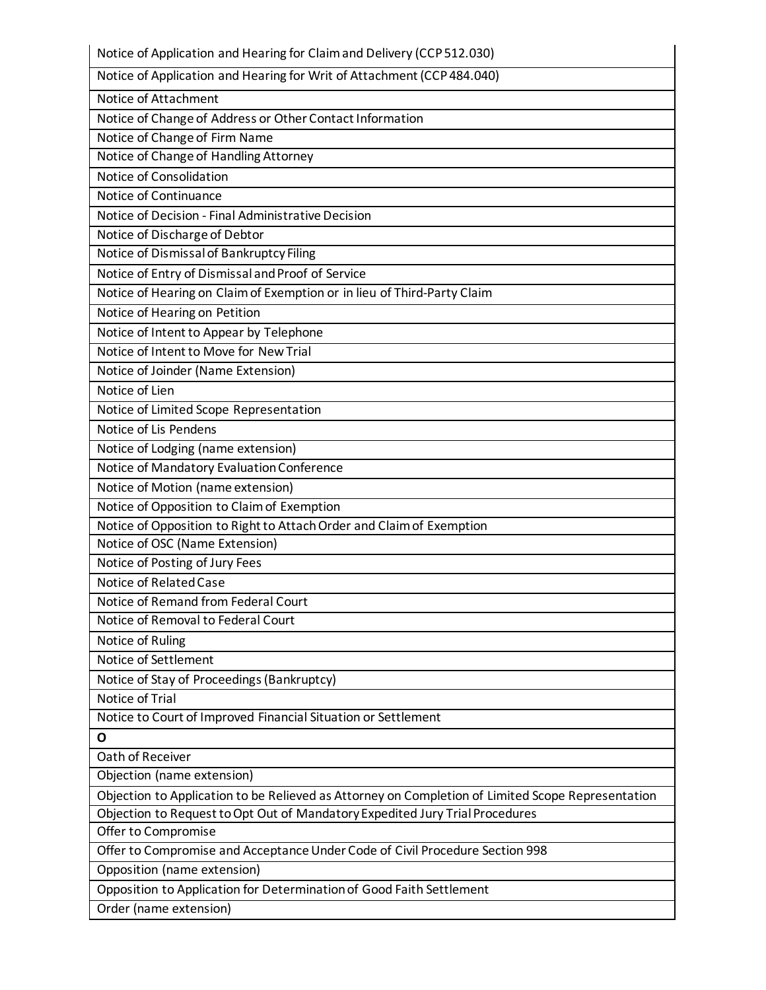| Notice of Application and Hearing for Claim and Delivery (CCP 512.030)                            |
|---------------------------------------------------------------------------------------------------|
| Notice of Application and Hearing for Writ of Attachment (CCP 484.040)                            |
| Notice of Attachment                                                                              |
| Notice of Change of Address or Other Contact Information                                          |
| Notice of Change of Firm Name                                                                     |
| Notice of Change of Handling Attorney                                                             |
| Notice of Consolidation                                                                           |
| Notice of Continuance                                                                             |
| Notice of Decision - Final Administrative Decision                                                |
| Notice of Discharge of Debtor                                                                     |
| Notice of Dismissal of Bankruptcy Filing                                                          |
| Notice of Entry of Dismissal and Proof of Service                                                 |
| Notice of Hearing on Claim of Exemption or in lieu of Third-Party Claim                           |
| Notice of Hearing on Petition                                                                     |
| Notice of Intent to Appear by Telephone                                                           |
| Notice of Intent to Move for New Trial                                                            |
| Notice of Joinder (Name Extension)                                                                |
| Notice of Lien                                                                                    |
| Notice of Limited Scope Representation                                                            |
| Notice of Lis Pendens                                                                             |
| Notice of Lodging (name extension)                                                                |
| Notice of Mandatory Evaluation Conference                                                         |
| Notice of Motion (name extension)                                                                 |
| Notice of Opposition to Claim of Exemption                                                        |
| Notice of Opposition to Right to Attach Order and Claim of Exemption                              |
| Notice of OSC (Name Extension)                                                                    |
| Notice of Posting of Jury Fees                                                                    |
| Notice of Related Case                                                                            |
| Notice of Remand from Federal Court                                                               |
| Notice of Removal to Federal Court                                                                |
| Notice of Ruling                                                                                  |
| Notice of Settlement                                                                              |
| Notice of Stay of Proceedings (Bankruptcy)                                                        |
| Notice of Trial                                                                                   |
| Notice to Court of Improved Financial Situation or Settlement                                     |
| O                                                                                                 |
| Oath of Receiver                                                                                  |
| Objection (name extension)                                                                        |
| Objection to Application to be Relieved as Attorney on Completion of Limited Scope Representation |
| Objection to Request to Opt Out of Mandatory Expedited Jury Trial Procedures                      |
| Offer to Compromise                                                                               |
| Offer to Compromise and Acceptance Under Code of Civil Procedure Section 998                      |
| Opposition (name extension)                                                                       |
| Opposition to Application for Determination of Good Faith Settlement                              |
| Order (name extension)                                                                            |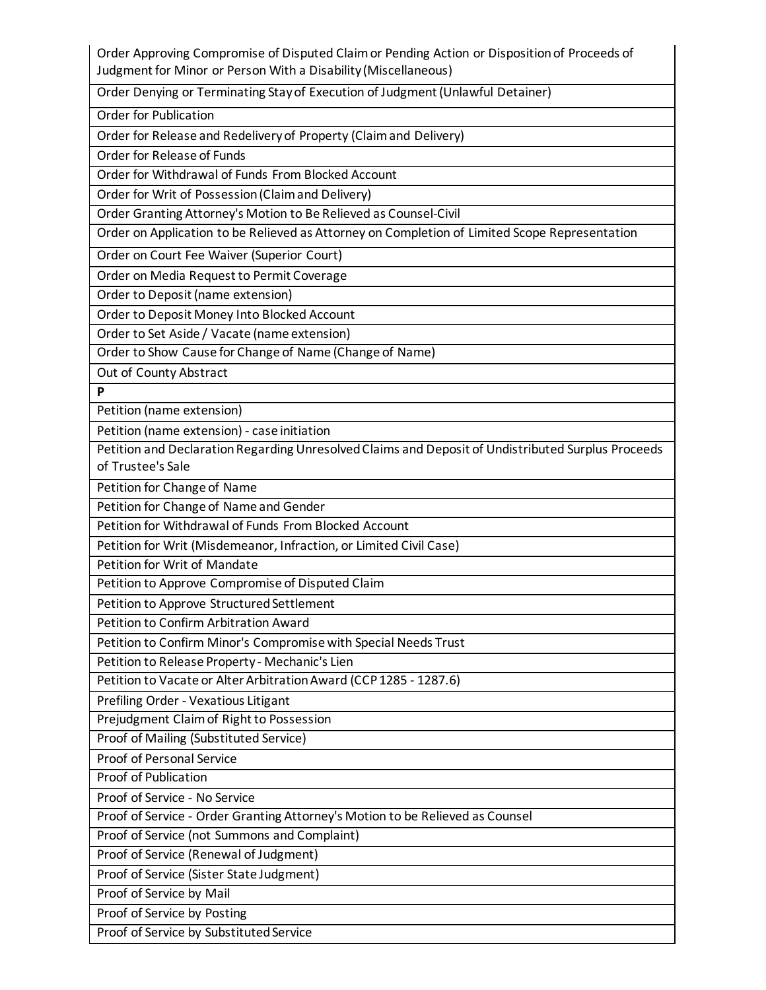Order Approving Compromise of Disputed Claim or Pending Action or Disposition of Proceeds of Judgment for Minor or Person With a Disability (Miscellaneous)

Order Denying or Terminating Stay of Execution of Judgment (Unlawful Detainer)

Order for Publication

Order for Release and Redelivery of Property (Claim and Delivery)

Order for Release of Funds

Order for Withdrawal of Funds From Blocked Account

Order for Writ of Possession (Claim and Delivery)

Order Granting Attorney's Motion to Be Relieved as Counsel-Civil

Order on Application to be Relieved as Attorney on Completion of Limited Scope Representation

Order on Court Fee Waiver (Superior Court)

Order on Media Request to Permit Coverage

Order to Deposit (name extension)

Order to Deposit Money Into Blocked Account

Order to Set Aside / Vacate (name extension)

Order to Show Cause for Change of Name (Change of Name)

Out of County Abstract

**P**

Petition (name extension)

Petition (name extension) - case initiation

Petition and Declaration Regarding Unresolved Claims and Deposit of Undistributed Surplus Proceeds of Trustee's Sale

Petition for Change of Name

Petition for Change of Name and Gender

Petition for Withdrawal of Funds From Blocked Account

Petition for Writ (Misdemeanor, Infraction, or Limited Civil Case)

Petition for Writ of Mandate

Petition to Approve Compromise of Disputed Claim

Petition to Approve Structured Settlement

Petition to Confirm Arbitration Award

Petition to Confirm Minor's Compromise with Special Needs Trust

Petition to Release Property - Mechanic's Lien

Petition to Vacate or Alter Arbitration Award (CCP 1285 - 1287.6)

Prefiling Order - Vexatious Litigant

Prejudgment Claim of Right to Possession

Proof of Mailing (Substituted Service)

Proof of Personal Service

Proof of Publication

Proof of Service - No Service

Proof of Service - Order Granting Attorney's Motion to be Relieved as Counsel

Proof of Service (not Summons and Complaint)

Proof of Service (Renewal of Judgment)

Proof of Service (Sister State Judgment)

Proof of Service by Mail

Proof of Service by Posting

Proof of Service by Substituted Service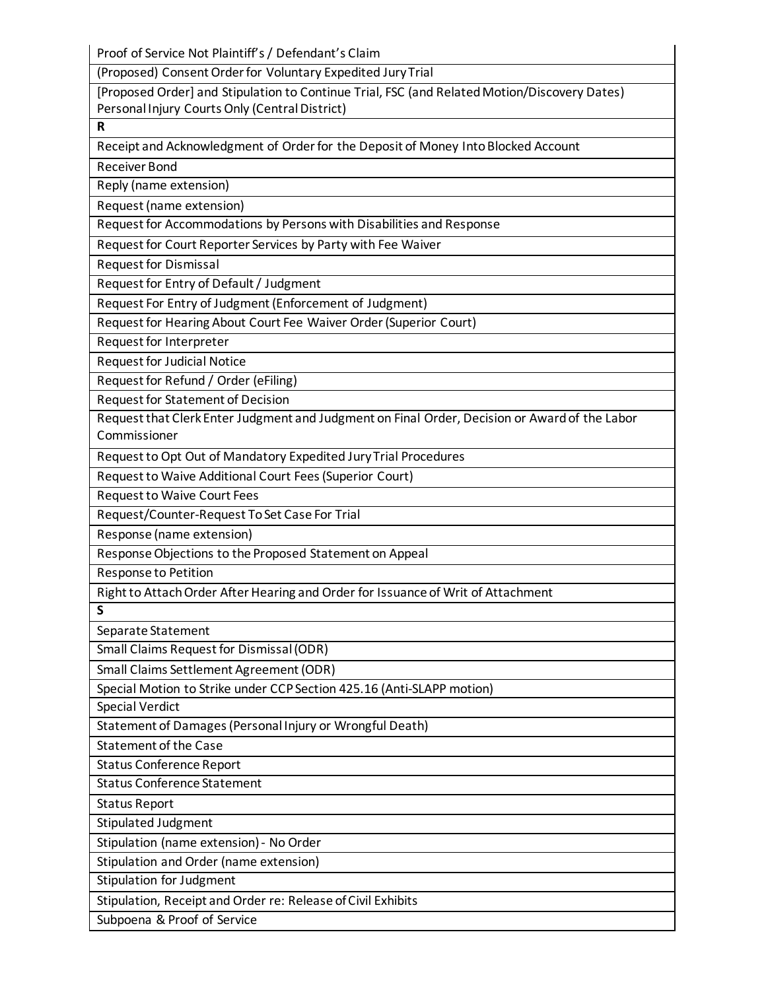Proof of Service Not Plaintiff's / Defendant's Claim

(Proposed) Consent Order for Voluntary Expedited Jury Trial

[Proposed Order] and Stipulation to Continue Trial, FSC (and Related Motion/Discovery Dates) Personal Injury Courts Only (Central District)

**R**

Receipt and Acknowledgment of Order for the Deposit of Money Into Blocked Account

Receiver Bond

Reply (name extension)

Request (name extension)

Request for Accommodations by Persons with Disabilities and Response

Request for Court Reporter Services by Party with Fee Waiver

Request for Dismissal

Request for Entry of Default / Judgment

Request For Entry of Judgment (Enforcement of Judgment)

Request for Hearing About Court Fee Waiver Order (Superior Court)

Request for Interpreter

Request for Judicial Notice

Request for Refund / Order (eFiling)

Request for Statement of Decision

Request that Clerk Enter Judgment and Judgment on Final Order, Decision or Award of the Labor Commissioner

Request to Opt Out of Mandatory Expedited Jury Trial Procedures

Request to Waive Additional Court Fees (Superior Court)

Request to Waive Court Fees

Request/Counter-Request To Set Case For Trial

Response (name extension)

Response Objections to the Proposed Statement on Appeal

Response to Petition

Right to Attach Order After Hearing and Order for Issuance of Writ of Attachment

**S**

Separate Statement

Small Claims Request for Dismissal (ODR)

Small Claims Settlement Agreement (ODR)

Special Motion to Strike under CCP Section 425.16 (Anti-SLAPP motion)

Special Verdict

Statement of Damages (Personal Injury or Wrongful Death)

Statement of the Case

Status Conference Report

Status Conference Statement

Status Report

Stipulated Judgment

Stipulation (name extension) - No Order

Stipulation and Order (name extension)

Stipulation for Judgment

Stipulation, Receipt and Order re: Release of Civil Exhibits

Subpoena & Proof of Service